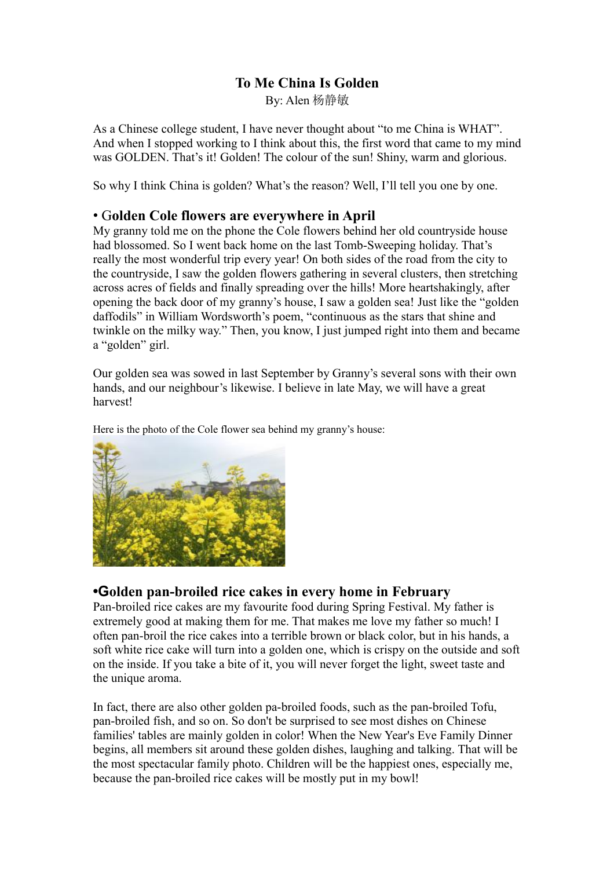## **To Me China Is Golden**

By: Alen 杨静敏

As a Chinese college student, I have never thought about "to me China is WHAT". And when I stopped working to I think about this, the first word that came to my mind was GOLDEN. That's it! Golden! The colour of the sun! Shiny, warm and glorious.

So why I think China is golden? What's the reason? Well, I'll tell you one by one.

## • G**olden Cole flowers are everywhere in April**

My granny told me on the phone the Cole flowers behind her old countryside house had blossomed. So I went back home on the last Tomb-Sweeping holiday. That's really the most wonderful trip every year! On both sides of the road from the city to the countryside, I saw the golden flowers gathering in several clusters, then stretching across acres of fields and finally spreading over the hills! More heartshakingly, after opening the back door of my granny's house, I saw a golden sea! Just like the "golden daffodils" in William Wordsworth's poem, "continuous as the stars that shine and twinkle on the milky way." Then, you know, I just jumped right into them and became a "golden" girl.

Our golden sea was sowed in last September by Granny's several sons with their own hands, and our neighbour's likewise. I believe in late May, we will have a great harvest!

Here is the photo of the Cole flower sea behind my granny's house:



## **•Golden pan-broiled rice cakes in every home in February**

Pan-broiled rice cakes are my favourite food during Spring Festival. My father is extremely good at making them for me. That makes me love my father so much! I often pan-broil the rice cakes into a terrible brown or black color, but in his hands, a soft white rice cake will turn into a golden one, which is crispy on the outside and soft on the inside. If you take a bite of it, you will never forget the light, sweet taste and the unique aroma.

In fact, there are also other golden pa-broiled foods, such as the pan-broiled Tofu, pan-broiled fish, and so on. So don't be surprised to see most dishes on Chinese families' tables are mainly golden in color! When the New Year's Eve Family Dinner begins, all members sit around these golden dishes, laughing and talking. That will be the most spectacular family photo. Children will be the happiest ones, especially me, because the pan-broiled rice cakes will be mostly put in my bowl!